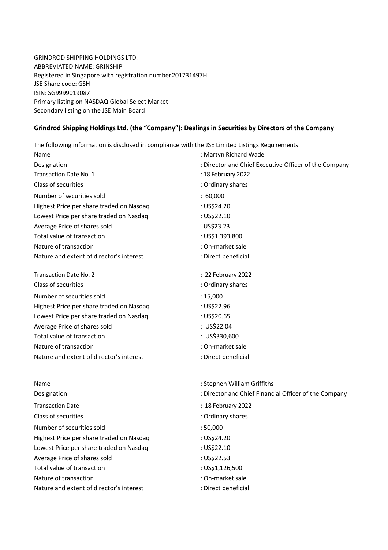GRINDROD SHIPPING HOLDINGS LTD. ABBREVIATED NAME: GRINSHIP Registered in Singapore with registration number 201731497H JSE Share code: GSH ISIN: SG9999019087 Primary listing on NASDAQ Global Select Market Secondary listing on the JSE Main Board

## **Grindrod Shipping Holdings Ltd. (the "Company"): Dealings in Securities by Directors of the Company**

The following information is disclosed in compliance with the JSE Limited Listings Requirements:

| Name<br>Designation<br>Transaction Date No. 1<br>Class of securities<br>Number of securities sold<br>Highest Price per share traded on Nasdaq<br>Lowest Price per share traded on Nasdaq<br>Average Price of shares sold<br>Total value of transaction | : Martyn Richard Wade<br>: Director and Chief Executive Officer of the Company<br>: 18 February 2022<br>: Ordinary shares<br>: 60,000<br>: US\$24.20<br>: US\$22.10<br>: US\$23.23<br>: US\$1,393,800 |                                                                                              |                                              |                                         |             |
|--------------------------------------------------------------------------------------------------------------------------------------------------------------------------------------------------------------------------------------------------------|-------------------------------------------------------------------------------------------------------------------------------------------------------------------------------------------------------|----------------------------------------------------------------------------------------------|----------------------------------------------|-----------------------------------------|-------------|
|                                                                                                                                                                                                                                                        |                                                                                                                                                                                                       | Nature of transaction                                                                        | : On-market sale                             |                                         |             |
|                                                                                                                                                                                                                                                        |                                                                                                                                                                                                       | Nature and extent of director's interest                                                     | : Direct beneficial                          |                                         |             |
|                                                                                                                                                                                                                                                        |                                                                                                                                                                                                       | Transaction Date No. 2                                                                       | : 22 February 2022                           |                                         |             |
|                                                                                                                                                                                                                                                        |                                                                                                                                                                                                       | Class of securities<br>Number of securities sold<br>Highest Price per share traded on Nasdaq | : Ordinary shares<br>: 15,000<br>: US\$22.96 |                                         |             |
|                                                                                                                                                                                                                                                        |                                                                                                                                                                                                       |                                                                                              |                                              | Lowest Price per share traded on Nasdaq | : US\$20.65 |
|                                                                                                                                                                                                                                                        |                                                                                                                                                                                                       |                                                                                              |                                              | Average Price of shares sold            | : US\$22.04 |
|                                                                                                                                                                                                                                                        |                                                                                                                                                                                                       | Total value of transaction                                                                   | : US\$330,600                                |                                         |             |
|                                                                                                                                                                                                                                                        |                                                                                                                                                                                                       | Nature of transaction                                                                        | : On-market sale                             |                                         |             |
| Nature and extent of director's interest                                                                                                                                                                                                               | : Direct beneficial                                                                                                                                                                                   |                                                                                              |                                              |                                         |             |
| Name                                                                                                                                                                                                                                                   | : Stephen William Griffiths                                                                                                                                                                           |                                                                                              |                                              |                                         |             |
| Designation                                                                                                                                                                                                                                            | : Director and Chief Financial Officer of the Company                                                                                                                                                 |                                                                                              |                                              |                                         |             |
| <b>Transaction Date</b>                                                                                                                                                                                                                                | : 18 February 2022                                                                                                                                                                                    |                                                                                              |                                              |                                         |             |
| Class of securities                                                                                                                                                                                                                                    | : Ordinary shares                                                                                                                                                                                     |                                                                                              |                                              |                                         |             |
| Number of securities sold                                                                                                                                                                                                                              | : 50,000                                                                                                                                                                                              |                                                                                              |                                              |                                         |             |
| Highest Price per share traded on Nasdaq                                                                                                                                                                                                               | : US\$24.20                                                                                                                                                                                           |                                                                                              |                                              |                                         |             |
| Lowest Price per share traded on Nasdaq                                                                                                                                                                                                                | : US\$22.10                                                                                                                                                                                           |                                                                                              |                                              |                                         |             |
| Average Price of shares sold                                                                                                                                                                                                                           | : US\$22.53                                                                                                                                                                                           |                                                                                              |                                              |                                         |             |
| Total value of transaction                                                                                                                                                                                                                             | : US\$1,126,500                                                                                                                                                                                       |                                                                                              |                                              |                                         |             |
| Nature of transaction                                                                                                                                                                                                                                  | : On-market sale                                                                                                                                                                                      |                                                                                              |                                              |                                         |             |
| Nature and extent of director's interest                                                                                                                                                                                                               | : Direct beneficial                                                                                                                                                                                   |                                                                                              |                                              |                                         |             |